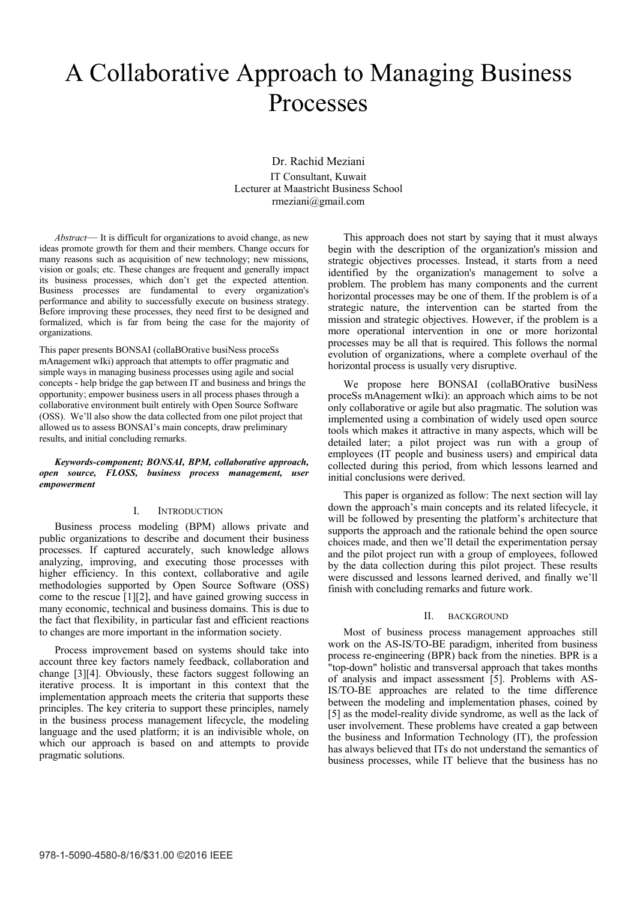# A Collaborative Approach to Managing Business Processes

Dr. Rachid Meziani IT Consultant, Kuwait Lecturer at Maastricht Business School rmeziani@gmail.com

*Abstract*— It is difficult for organizations to avoid change, as new ideas promote growth for them and their members. Change occurs for many reasons such as acquisition of new technology; new missions, vision or goals; etc. These changes are frequent and generally impact its business processes, which don't get the expected attention. Business processes are fundamental to every organization's performance and ability to successfully execute on business strategy. Before improving these processes, they need first to be designed and formalized, which is far from being the case for the majority of organizations.

This paper presents BONSAI (collaBOrative busiNess proceSs mAnagement wIki) approach that attempts to offer pragmatic and simple ways in managing business processes using agile and social concepts - help bridge the gap between IT and business and brings the opportunity; empower business users in all process phases through a collaborative environment built entirely with Open Source Software (OSS). We'll also show the data collected from one pilot project that allowed us to assess BONSAI's main concepts, draw preliminary results, and initial concluding remarks.

*Keywords-component; BONSAI, BPM, collaborative approach, open source, FLOSS, business process management, user empowerment* 

# I. INTRODUCTION

Business process modeling (BPM) allows private and public organizations to describe and document their business processes. If captured accurately, such knowledge allows analyzing, improving, and executing those processes with higher efficiency. In this context, collaborative and agile methodologies supported by Open Source Software (OSS) come to the rescue [1][2], and have gained growing success in many economic, technical and business domains. This is due to the fact that flexibility, in particular fast and efficient reactions to changes are more important in the information society.

Process improvement based on systems should take into account three key factors namely feedback, collaboration and change [3][4]. Obviously, these factors suggest following an iterative process. It is important in this context that the implementation approach meets the criteria that supports these principles. The key criteria to support these principles, namely in the business process management lifecycle, the modeling language and the used platform; it is an indivisible whole, on which our approach is based on and attempts to provide pragmatic solutions.

This approach does not start by saying that it must always begin with the description of the organization's mission and strategic objectives processes. Instead, it starts from a need identified by the organization's management to solve a problem. The problem has many components and the current horizontal processes may be one of them. If the problem is of a strategic nature, the intervention can be started from the mission and strategic objectives. However, if the problem is a more operational intervention in one or more horizontal processes may be all that is required. This follows the normal evolution of organizations, where a complete overhaul of the horizontal process is usually very disruptive.

We propose here BONSAI (collaBOrative busiNess proceSs mAnagement wIki): an approach which aims to be not only collaborative or agile but also pragmatic. The solution was implemented using a combination of widely used open source tools which makes it attractive in many aspects, which will be detailed later; a pilot project was run with a group of employees (IT people and business users) and empirical data collected during this period, from which lessons learned and initial conclusions were derived.

This paper is organized as follow: The next section will lay down the approach's main concepts and its related lifecycle, it will be followed by presenting the platform's architecture that supports the approach and the rationale behind the open source choices made, and then we'll detail the experimentation persay and the pilot project run with a group of employees, followed by the data collection during this pilot project. These results were discussed and lessons learned derived, and finally we'll finish with concluding remarks and future work.

#### II. BACKGROUND

Most of business process management approaches still work on the AS-IS/TO-BE paradigm, inherited from business process re-engineering (BPR) back from the nineties. BPR is a "top-down" holistic and transversal approach that takes months of analysis and impact assessment [5]. Problems with AS-IS/TO-BE approaches are related to the time difference between the modeling and implementation phases, coined by [5] as the model-reality divide syndrome, as well as the lack of user involvement. These problems have created a gap between the business and Information Technology (IT), the profession has always believed that ITs do not understand the semantics of business processes, while IT believe that the business has no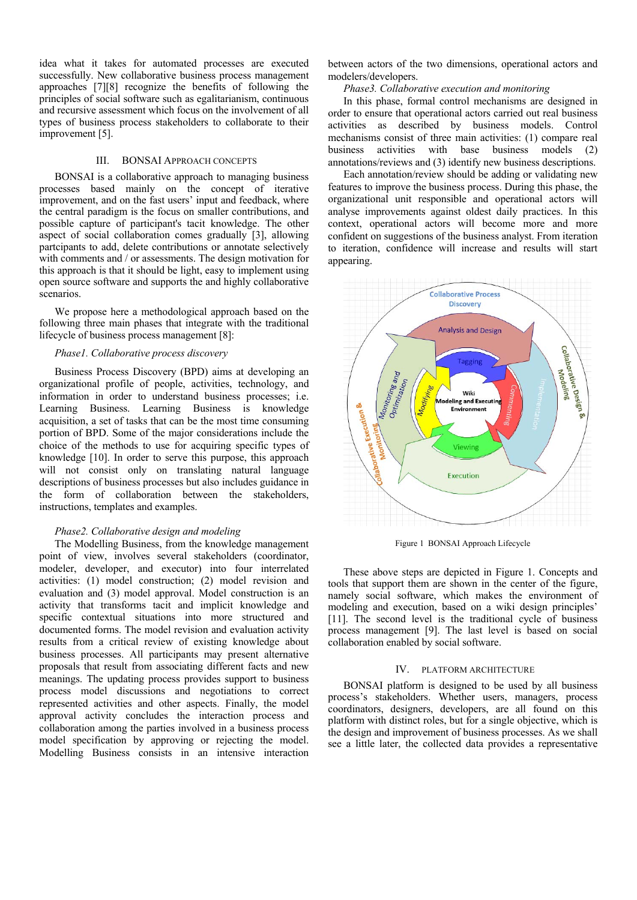idea what it takes for automated processes are executed successfully. New collaborative business process management approaches [7][8] recognize the benefits of following the principles of social software such as egalitarianism, continuous and recursive assessment which focus on the involvement of all types of business process stakeholders to collaborate to their improvement [5].

## III. BONSAI APPROACH CONCEPTS

BONSAI is a collaborative approach to managing business processes based mainly on the concept of iterative improvement, and on the fast users' input and feedback, where the central paradigm is the focus on smaller contributions, and possible capture of participant's tacit knowledge. The other aspect of social collaboration comes gradually [3], allowing partcipants to add, delete contributions or annotate selectively with comments and / or assessments. The design motivation for this approach is that it should be light, easy to implement using open source software and supports the and highly collaborative scenarios.

We propose here a methodological approach based on the following three main phases that integrate with the traditional lifecycle of business process management [8]:

#### *Phase1. Collaborative process discovery*

Business Process Discovery (BPD) aims at developing an organizational profile of people, activities, technology, and information in order to understand business processes; i.e. Learning Business. Learning Business is knowledge acquisition, a set of tasks that can be the most time consuming portion of BPD. Some of the major considerations include the choice of the methods to use for acquiring specific types of knowledge [10]. In order to serve this purpose, this approach will not consist only on translating natural language descriptions of business processes but also includes guidance in the form of collaboration between the stakeholders, instructions, templates and examples.

## *Phase2. Collaborative design and modeling*

The Modelling Business, from the knowledge management point of view, involves several stakeholders (coordinator, modeler, developer, and executor) into four interrelated activities: (1) model construction; (2) model revision and evaluation and (3) model approval. Model construction is an activity that transforms tacit and implicit knowledge and specific contextual situations into more structured and documented forms. The model revision and evaluation activity results from a critical review of existing knowledge about business processes. All participants may present alternative proposals that result from associating different facts and new meanings. The updating process provides support to business process model discussions and negotiations to correct represented activities and other aspects. Finally, the model approval activity concludes the interaction process and collaboration among the parties involved in a business process model specification by approving or rejecting the model. Modelling Business consists in an intensive interaction

between actors of the two dimensions, operational actors and modelers/developers.

*Phase3. Collaborative execution and monitoring* 

In this phase, formal control mechanisms are designed in order to ensure that operational actors carried out real business activities as described by business models. Control mechanisms consist of three main activities: (1) compare real business activities with base business models (2) annotations/reviews and (3) identify new business descriptions.

Each annotation/review should be adding or validating new features to improve the business process. During this phase, the organizational unit responsible and operational actors will analyse improvements against oldest daily practices. In this context, operational actors will become more and more confident on suggestions of the business analyst. From iteration to iteration, confidence will increase and results will start appearing.



Figure 1 BONSAI Approach Lifecycle

These above steps are depicted in Figure 1. Concepts and tools that support them are shown in the center of the figure, namely social software, which makes the environment of modeling and execution, based on a wiki design principles' [11]. The second level is the traditional cycle of business process management [9]. The last level is based on social collaboration enabled by social software.

#### IV. PLATFORM ARCHITECTURE

BONSAI platform is designed to be used by all business process's stakeholders. Whether users, managers, process coordinators, designers, developers, are all found on this platform with distinct roles, but for a single objective, which is the design and improvement of business processes. As we shall see a little later, the collected data provides a representative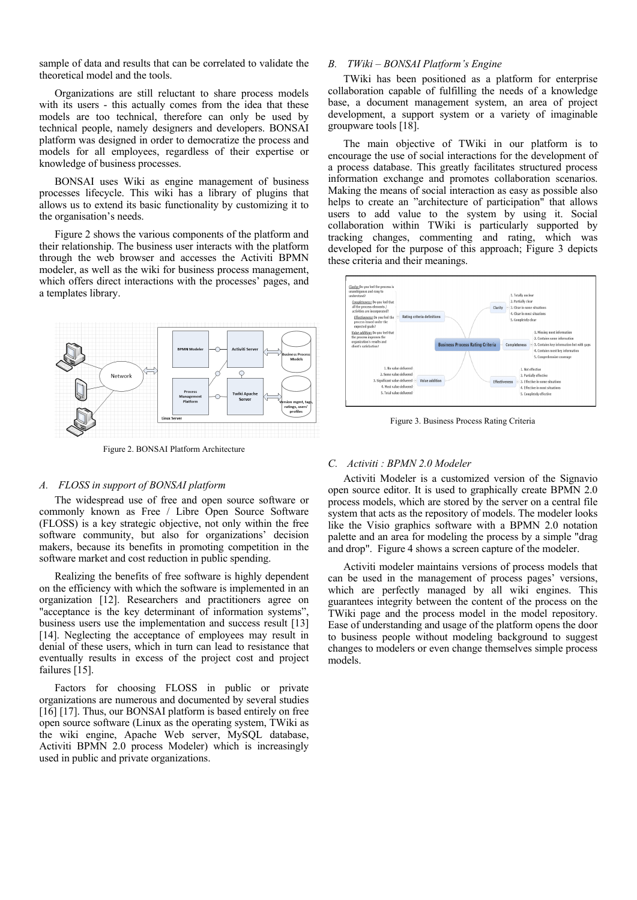sample of data and results that can be correlated to validate the theoretical model and the tools.

Organizations are still reluctant to share process models with its users - this actually comes from the idea that these models are too technical, therefore can only be used by technical people, namely designers and developers. BONSAI platform was designed in order to democratize the process and models for all employees, regardless of their expertise or knowledge of business processes.

BONSAI uses Wiki as engine management of business processes lifecycle. This wiki has a library of plugins that allows us to extend its basic functionality by customizing it to the organisation's needs.

Figure 2 shows the various components of the platform and their relationship. The business user interacts with the platform through the web browser and accesses the Activiti BPMN modeler, as well as the wiki for business process management, which offers direct interactions with the processes' pages, and a templates library.



Figure 2. BONSAI Platform Architecture

## *A. FLOSS in support of BONSAI platform*

The widespread use of free and open source software or commonly known as Free / Libre Open Source Software (FLOSS) is a key strategic objective, not only within the free software community, but also for organizations' decision makers, because its benefits in promoting competition in the software market and cost reduction in public spending.

Realizing the benefits of free software is highly dependent on the efficiency with which the software is implemented in an organization [12]. Researchers and practitioners agree on "acceptance is the key determinant of information systems", business users use the implementation and success result [13] [14]. Neglecting the acceptance of employees may result in denial of these users, which in turn can lead to resistance that eventually results in excess of the project cost and project failures [15].

Factors for choosing FLOSS in public or private organizations are numerous and documented by several studies [16] [17]. Thus, our BONSAI platform is based entirely on free open source software (Linux as the operating system, TWiki as the wiki engine, Apache Web server, MySQL database, Activiti BPMN 2.0 process Modeler) which is increasingly used in public and private organizations.

## *B. TWiki – BONSAI Platform's Engine*

TWiki has been positioned as a platform for enterprise collaboration capable of fulfilling the needs of a knowledge base, a document management system, an area of project development, a support system or a variety of imaginable groupware tools [18].

The main objective of TWiki in our platform is to encourage the use of social interactions for the development of a process database. This greatly facilitates structured process information exchange and promotes collaboration scenarios. Making the means of social interaction as easy as possible also helps to create an "architecture of participation" that allows users to add value to the system by using it. Social collaboration within TWiki is particularly supported by tracking changes, commenting and rating, which was developed for the purpose of this approach; Figure 3 depicts these criteria and their meanings.



Figure 3. Business Process Rating Criteria

# *C. Activiti : BPMN 2.0 Modeler*

Activiti Modeler is a customized version of the Signavio open source editor. It is used to graphically create BPMN 2.0 process models, which are stored by the server on a central file system that acts as the repository of models. The modeler looks like the Visio graphics software with a BPMN 2.0 notation palette and an area for modeling the process by a simple "drag and drop". Figure 4 shows a screen capture of the modeler.

Activiti modeler maintains versions of process models that can be used in the management of process pages' versions, which are perfectly managed by all wiki engines. This guarantees integrity between the content of the process on the TWiki page and the process model in the model repository. Ease of understanding and usage of the platform opens the door to business people without modeling background to suggest changes to modelers or even change themselves simple process models.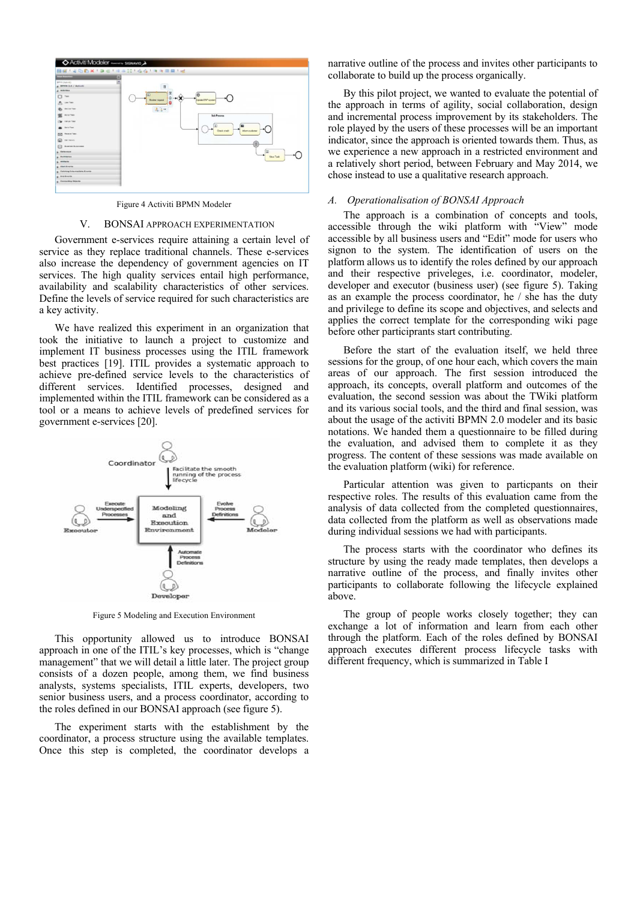

Figure 4 Activiti BPMN Modeler

#### V. BONSAI APPROACH EXPERIMENTATION

Government e-services require attaining a certain level of service as they replace traditional channels. These e-services also increase the dependency of government agencies on IT services. The high quality services entail high performance, availability and scalability characteristics of other services. Define the levels of service required for such characteristics are a key activity.

We have realized this experiment in an organization that took the initiative to launch a project to customize and implement IT business processes using the ITIL framework best practices [19]. ITIL provides a systematic approach to achieve pre-defined service levels to the characteristics of different services. Identified processes, designed and implemented within the ITIL framework can be considered as a tool or a means to achieve levels of predefined services for government e-services [20].



Figure 5 Modeling and Execution Environment

This opportunity allowed us to introduce BONSAI approach in one of the ITIL's key processes, which is "change management" that we will detail a little later. The project group consists of a dozen people, among them, we find business analysts, systems specialists, ITIL experts, developers, two senior business users, and a process coordinator, according to the roles defined in our BONSAI approach (see figure 5).

The experiment starts with the establishment by the coordinator, a process structure using the available templates. Once this step is completed, the coordinator develops a narrative outline of the process and invites other participants to collaborate to build up the process organically.

By this pilot project, we wanted to evaluate the potential of the approach in terms of agility, social collaboration, design and incremental process improvement by its stakeholders. The role played by the users of these processes will be an important indicator, since the approach is oriented towards them. Thus, as we experience a new approach in a restricted environment and a relatively short period, between February and May 2014, we chose instead to use a qualitative research approach.

#### *A. Operationalisation of BONSAI Approach*

The approach is a combination of concepts and tools, accessible through the wiki platform with "View" mode accessible by all business users and "Edit" mode for users who signon to the system. The identification of users on the platform allows us to identify the roles defined by our approach and their respective priveleges, i.e. coordinator, modeler, developer and executor (business user) (see figure 5). Taking as an example the process coordinator, he / she has the duty and privilege to define its scope and objectives, and selects and applies the correct template for the corresponding wiki page before other participrants start contributing.

Before the start of the evaluation itself, we held three sessions for the group, of one hour each, which covers the main areas of our approach. The first session introduced the approach, its concepts, overall platform and outcomes of the evaluation, the second session was about the TWiki platform and its various social tools, and the third and final session, was about the usage of the activiti BPMN 2.0 modeler and its basic notations. We handed them a questionnaire to be filled during the evaluation, and advised them to complete it as they progress. The content of these sessions was made available on the evaluation platform (wiki) for reference.

Particular attention was given to particpants on their respective roles. The results of this evaluation came from the analysis of data collected from the completed questionnaires, data collected from the platform as well as observations made during individual sessions we had with participants.

The process starts with the coordinator who defines its structure by using the ready made templates, then develops a narrative outline of the process, and finally invites other participants to collaborate following the lifecycle explained above.

The group of people works closely together; they can exchange a lot of information and learn from each other through the platform. Each of the roles defined by BONSAI approach executes different process lifecycle tasks with different frequency, which is summarized in Table I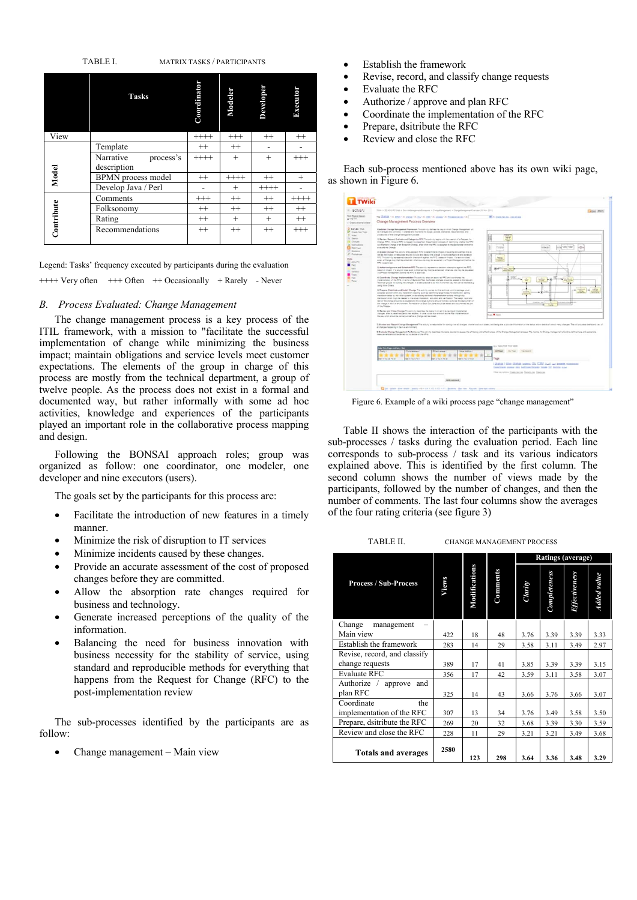|               | <b>TABLE I.</b>                       |             | <b>MATRIX TASKS / PARTICIPANTS</b> |                  |                     |
|---------------|---------------------------------------|-------------|------------------------------------|------------------|---------------------|
|               | <b>Tasks</b>                          | Coordinator | Modeler                            | <b>Developer</b> | Executor            |
|               |                                       | $++++$      | $^{+++}$                           | $^{++}$          | $^{++}$             |
| View<br>Model | Template                              | $^{++}$     | $^{++}$                            |                  |                     |
|               | Narrative<br>process's<br>description | $++++$      | $^{+}$                             | $^{+}$           | $^{+++}$            |
|               | <b>BPMN</b> process model             | $^{++}$     | $++++$                             | $^{++}$          | $^{+}$              |
|               | Develop Java / Perl                   |             | $^{+}$                             | $++++$           |                     |
|               | Comments                              | $^{+++}$    | $^{++}$                            | $^{++}$          | $^{+++}$            |
|               | Folksonomy                            | $^{++}$     | $^{++}$                            | $^{++}$          | $^{++}$             |
|               | Rating                                | $^{++}$     | $^{+}$                             | $^{+}$           | $^{++}$<br>$^{+++}$ |
| Contribute    | Recommendations                       | $^{++}$     | $^{++}$                            | $^{++}$          |                     |

Legend: Tasks' frequency executed by participants during the evaluation

++++ Very often +++ Often ++ Occasionally + Rarely - Never

## *B. Process Evaluated: Change Management*

The change management process is a key process of the ITIL framework, with a mission to "facilitate the successful implementation of change while minimizing the business impact; maintain obligations and service levels meet customer expectations. The elements of the group in charge of this process are mostly from the technical department, a group of twelve people. As the process does not exist in a formal and documented way, but rather informally with some ad hoc activities, knowledge and experiences of the participants played an important role in the collaborative process mapping and design.

Following the BONSAI approach roles; group was organized as follow: one coordinator, one modeler, one developer and nine executors (users).

The goals set by the participants for this process are:

- Facilitate the introduction of new features in a timely manner.
- Minimize the risk of disruption to IT services
- Minimize incidents caused by these changes.
- Provide an accurate assessment of the cost of proposed changes before they are committed.
- Allow the absorption rate changes required for business and technology.
- Generate increased perceptions of the quality of the information.
- Balancing the need for business innovation with business necessity for the stability of service, using standard and reproducible methods for everything that happens from the Request for Change (RFC) to the post-implementation review

The sub-processes identified by the participants are as follow:

• Change management – Main view

- Establish the framework
- Revise, record, and classify change requests
- Evaluate the RFC
- Authorize / approve and plan RFC
- Coordinate the implementation of the RFC
- Prepare, dsitribute the RFC
- Review and close the RFC

Each sub-process mentioned above has its own wiki page, as shown in Figure 6.

|                                                                                                                                                                                                                                                                                                                  | PAIN + 32 ADLPD Hat + SevialSengeratificances + Changliangerati + ChargeliangerariOversex 32 Nov 2711                                                                                                                                                                                                                                                                                                                                                                                                                                                                                                                                                                                                                                                                                                                                                                                                                                                                                                                                                                                                                                                                                                                                                                                                                                                                                                                                                                                                                                                                                                                                                                                                                                                                                                                                                                                                                                                                                                                                                                                                                                                                                                                                                                                                                                                                                                                                                                                                                                                                                                                                                                                                                  | <b>GEAR PROT</b>                                                                                                                                                                                                                                                                                                                                                                |
|------------------------------------------------------------------------------------------------------------------------------------------------------------------------------------------------------------------------------------------------------------------------------------------------------------------|------------------------------------------------------------------------------------------------------------------------------------------------------------------------------------------------------------------------------------------------------------------------------------------------------------------------------------------------------------------------------------------------------------------------------------------------------------------------------------------------------------------------------------------------------------------------------------------------------------------------------------------------------------------------------------------------------------------------------------------------------------------------------------------------------------------------------------------------------------------------------------------------------------------------------------------------------------------------------------------------------------------------------------------------------------------------------------------------------------------------------------------------------------------------------------------------------------------------------------------------------------------------------------------------------------------------------------------------------------------------------------------------------------------------------------------------------------------------------------------------------------------------------------------------------------------------------------------------------------------------------------------------------------------------------------------------------------------------------------------------------------------------------------------------------------------------------------------------------------------------------------------------------------------------------------------------------------------------------------------------------------------------------------------------------------------------------------------------------------------------------------------------------------------------------------------------------------------------------------------------------------------------------------------------------------------------------------------------------------------------------------------------------------------------------------------------------------------------------------------------------------------------------------------------------------------------------------------------------------------------------------------------------------------------------------------------------------------------|---------------------------------------------------------------------------------------------------------------------------------------------------------------------------------------------------------------------------------------------------------------------------------------------------------------------------------------------------------------------------------|
| Pain Rochel Houses<br>a log for                                                                                                                                                                                                                                                                                  | The STATUM II ALLERY CALIFORNIA COLORADO CALIFORNIA CALIFORNIA CALIFORNIA CALIFORNIA                                                                                                                                                                                                                                                                                                                                                                                                                                                                                                                                                                                                                                                                                                                                                                                                                                                                                                                                                                                                                                                                                                                                                                                                                                                                                                                                                                                                                                                                                                                                                                                                                                                                                                                                                                                                                                                                                                                                                                                                                                                                                                                                                                                                                                                                                                                                                                                                                                                                                                                                                                                                                                   | M. A constraint for chemicals                                                                                                                                                                                                                                                                                                                                                   |
| - Create parameter activities                                                                                                                                                                                                                                                                                    | Change Management Process Overview                                                                                                                                                                                                                                                                                                                                                                                                                                                                                                                                                                                                                                                                                                                                                                                                                                                                                                                                                                                                                                                                                                                                                                                                                                                                                                                                                                                                                                                                                                                                                                                                                                                                                                                                                                                                                                                                                                                                                                                                                                                                                                                                                                                                                                                                                                                                                                                                                                                                                                                                                                                                                                                                                     |                                                                                                                                                                                                                                                                                                                                                                                 |
| <b>SI SCHALL IRVA</b><br>To Create fresh Times<br><b>Williams</b><br>G. Harris<br>FW: Drangea:<br>al Australiana<br><b>Rick Fault</b><br><b>UT Semina</b><br><b>P. Darlesman</b><br><b>This</b><br>III: ascen<br><b>TEL PACE</b><br><b>TOO</b><br>Services<br><b>B</b> Track<br><b>B</b> run<br><b>The Toron</b> | Establish Change Neosperiod Promocort The actuals righting the next in situal Change Menopoteri uit<br>be managed and committed, in present and maintains the ecopy, polities, entropying responsibilities, and<br>protections of the Change Interspensor process.<br>Il Review, Record, Enalusie and Categorius RPC The activity tegins with the meaner of a Passauctor<br>Change PPD. Drive an RPC is logged it is clearfied. Classification consists of therefore unanter the RPC<br>a a Santani Cransa o un Bosanton Changa, allan citolicità RPC a associati lo tra associata funzioni ci<br>acalcate the Chance.<br>3) Meaner Change This appullulated and ARD to paramite in most of example and pairwell in an<br>vehicle the insection resources required to half entireplay the sharpe. In Automaking three and Schedule<br>RPC This activity represents a betterin imagination against the RPC, howed on integer 11 a actualism direct<br>and a Chinga may that be attacked, interview may be recogned to a Project Denigement before the<br>RFC's springl.<br>3) Authorized grows and Schedule RFC This scrivity represents a decision checks in agenetics RFC.<br>beneficit impact. If a sciulton does sink: a Charlya may then be estadual, citienview one may be recueired.<br>Ing Proper Haracament balots Its RPE is approved.<br>4) Council auto Change Instigmaziation The actually takes or approval RPC and countings the<br>instancement of the RPC, in terms of Build and Test, Authorized photose struct be stated to the reauter.<br>Technical groups for building the shariped. It is best provides to be the further use. We can be instituted a p<br>Leng Work Oners<br>5) Prepare, Distribute and Install Change This activity certain out the technical voriting section.<br>accepted accepts volve any maniferry viewing parts as startlying larger nodes for distribution, secting<br>meabolism dates by individual ayanam, or developing additional implementation activities himsigh any<br>distributed what many tie needed to the actual distantance, accuration and use-fidebut. The beauty, built and<br>rest of the starge ensuit be evaluated and the Change Australity animally authorize the deployment of<br>The sharps in the lice an universely. Remaining or Bene Co.r plans should be terred and procurement on part<br>of the Release<br>6) Review and Close Cheege The actury meeting the laste musical in relating at implemental<br>changes, after a predefined period has expeed. In other contacts as is a known as the Foet interestment.<br>Review which should be peried out before a Change can be consol.<br>all shariped fasteaming or the five environment | ÷.<br>÷.<br>ust<br><b>Individor</b><br>789<br><b>EX</b><br>bpa<br><b>GMA</b><br>ucc.<br><b>USAT HAS</b><br><b>Europe Gaus 19</b><br>an Wilson<br>5) Meeter and Report Change Management This struty is responsive for modity your of sharped, whereas any assignment and length receivation in the mature and are entered in the article of the air many sharped This collectio |
|                                                                                                                                                                                                                                                                                                                  | messurements attack he period out to decide or the office.<br><b>Rate This Page and he a We</b><br>Ethericanses<br>Value Auction<br><b>Company and C</b><br>Darker)                                                                                                                                                                                                                                                                                                                                                                                                                                                                                                                                                                                                                                                                                                                                                                                                                                                                                                                                                                                                                                                                                                                                                                                                                                                                                                                                                                                                                                                                                                                                                                                                                                                                                                                                                                                                                                                                                                                                                                                                                                                                                                                                                                                                                                                                                                                                                                                                                                                                                                                                                    | Il Endada Ohinga Nanagamaré Parkemana Tra anti-tu daarihaa ina laaka rasinad ta assaa ina affiliaany and affiliashuaraa of ina Changa Nanagamaré prosaa. Tha matrixa for Changa managamaré atout ba safiraat hara-and acompran<br>ALL VACE POR THIS SWIN<br>act Tage<br>Wy Tays  "Tay Swerist"                                                                                  |
|                                                                                                                                                                                                                                                                                                                  | <b>Dealer Achieves and Parties</b><br>sent a line to have<br><b>Next &amp; Hitch &amp; Fire and</b><br><b>WE A TOLA TOUR</b>                                                                                                                                                                                                                                                                                                                                                                                                                                                                                                                                                                                                                                                                                                                                                                                                                                                                                                                                                                                                                                                                                                                                                                                                                                                                                                                                                                                                                                                                                                                                                                                                                                                                                                                                                                                                                                                                                                                                                                                                                                                                                                                                                                                                                                                                                                                                                                                                                                                                                                                                                                                           | Ting e<br>(change) since change unsees (Till ITSM Auch aus process massivement                                                                                                                                                                                                                                                                                                  |
|                                                                                                                                                                                                                                                                                                                  |                                                                                                                                                                                                                                                                                                                                                                                                                                                                                                                                                                                                                                                                                                                                                                                                                                                                                                                                                                                                                                                                                                                                                                                                                                                                                                                                                                                                                                                                                                                                                                                                                                                                                                                                                                                                                                                                                                                                                                                                                                                                                                                                                                                                                                                                                                                                                                                                                                                                                                                                                                                                                                                                                                                        | fasednam assess and bathbackholder brass tot hands due<br>Other was national County, rest and Theoretics and Colora can                                                                                                                                                                                                                                                         |
|                                                                                                                                                                                                                                                                                                                  |                                                                                                                                                                                                                                                                                                                                                                                                                                                                                                                                                                                                                                                                                                                                                                                                                                                                                                                                                                                                                                                                                                                                                                                                                                                                                                                                                                                                                                                                                                                                                                                                                                                                                                                                                                                                                                                                                                                                                                                                                                                                                                                                                                                                                                                                                                                                                                                                                                                                                                                                                                                                                                                                                                                        |                                                                                                                                                                                                                                                                                                                                                                                 |

Figure 6. Example of a wiki process page "change management"

Table II shows the interaction of the participants with the sub-processes / tasks during the evaluation period. Each line corresponds to sub-process / task and its various indicators explained above. This is identified by the first column. The second column shows the number of views made by the participants, followed by the number of changes, and then the number of comments. The last four columns show the averages of the four rating criteria (see figure 3)

TABLE II. CHANGE MANAGEMENT PROCESS

|                               |              |               |          | <b>Ratings (average)</b> |              |                       |             |
|-------------------------------|--------------|---------------|----------|--------------------------|--------------|-----------------------|-------------|
| <b>Process / Sub-Process</b>  | <b>Views</b> | Modifications | Comments | <b>Clarity</b>           | Completeness | <b>Effectiven ess</b> | Added value |
| Change<br>management          |              |               |          |                          |              |                       |             |
| Main view                     | 422          | 18            | 48       | 3.76                     | 3.39         | 3.39                  | 3.33        |
| Establish the framework       | 283          | 14            | 29       | 3.58                     | 3.11         | 3.49                  | 2.97        |
| Revise, record, and classify  |              |               |          |                          |              |                       |             |
| change requests               | 389          | 17            | 41       | 3.85                     | 3.39         | 3.39                  | 3.15        |
| <b>Evaluate RFC</b>           | 356          | 17            | 42       | 3.59                     | 3.11         | 3.58                  | 3.07        |
| Authorize /<br>approve<br>and |              |               |          |                          |              |                       |             |
| plan RFC                      | 325          | 14            | 43       | 3.66                     | 3.76         | 3.66                  | 3.07        |
| Coordinate<br>the             |              |               |          |                          |              |                       |             |
| implementation of the RFC     | 307          | 13            | 34       | 3.76                     | 3.49         | 3.58                  | 3.50        |
| Prepare, dsitribute the RFC   | 269          | 20            | 32       | 3.68                     | 3.39         | 3.30                  | 3.59        |
| Review and close the RFC      | 228          | 11            | 29       | 3.21                     | 3.21         | 3.49                  | 3.68        |
| <b>Totals and averages</b>    | 2580         | 123           | 298      | 3.64                     | 3.36         | 3.48                  | 3.29        |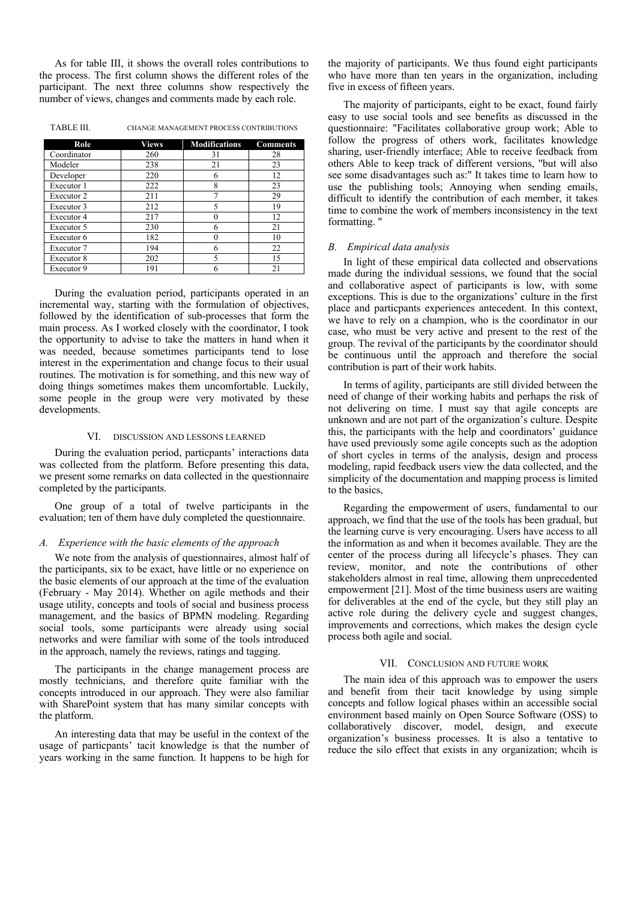As for table III, it shows the overall roles contributions to the process. The first column shows the different roles of the participant. The next three columns show respectively the number of views, changes and comments made by each role.

| Role        | Views | <b>Modifications</b> | <b>Comments</b> |
|-------------|-------|----------------------|-----------------|
| Coordinator | 260   | 31                   | 28              |
| Modeler     | 238   | 21                   | 23              |
| Developer   | 220   | 6                    | 12              |
| Executor 1  | 222   | 8                    | 23              |
| Executor 2  | 211   |                      | 29              |
| Executor 3  | 212   | 5                    | 19              |
| Executor 4  | 217   |                      | 12              |
| Executor 5  | 230   | 6                    | 21              |
| Executor 6  | 182   |                      | 10              |
| Executor 7  | 194   | 6                    | 22              |
| Executor 8  | 202   | 5                    | 15              |
| Executor 9  | 191   |                      | 2 <sub>1</sub>  |

TABLE III. CHANGE MANAGEMENT PROCESS CONTRIBUTIONS

During the evaluation period, participants operated in an incremental way, starting with the formulation of objectives, followed by the identification of sub-processes that form the main process. As I worked closely with the coordinator, I took the opportunity to advise to take the matters in hand when it was needed, because sometimes participants tend to lose interest in the experimentation and change focus to their usual routines. The motivation is for something, and this new way of doing things sometimes makes them uncomfortable. Luckily, some people in the group were very motivated by these developments.

#### VI. DISCUSSION AND LESSONS LEARNED

During the evaluation period, particpants' interactions data was collected from the platform. Before presenting this data, we present some remarks on data collected in the questionnaire completed by the participants.

One group of a total of twelve participants in the evaluation; ten of them have duly completed the questionnaire.

## *A. Experience with the basic elements of the approach*

We note from the analysis of questionnaires, almost half of the participants, six to be exact, have little or no experience on the basic elements of our approach at the time of the evaluation (February - May 2014). Whether on agile methods and their usage utility, concepts and tools of social and business process management, and the basics of BPMN modeling. Regarding social tools, some participants were already using social networks and were familiar with some of the tools introduced in the approach, namely the reviews, ratings and tagging.

The participants in the change management process are mostly technicians, and therefore quite familiar with the concepts introduced in our approach. They were also familiar with SharePoint system that has many similar concepts with the platform.

An interesting data that may be useful in the context of the usage of particpants' tacit knowledge is that the number of years working in the same function. It happens to be high for

the majority of participants. We thus found eight participants who have more than ten years in the organization, including five in excess of fifteen years.

The majority of participants, eight to be exact, found fairly easy to use social tools and see benefits as discussed in the questionnaire: "Facilitates collaborative group work; Able to follow the progress of others work, facilitates knowledge sharing, user-friendly interface; Able to receive feedback from others Able to keep track of different versions, "but will also see some disadvantages such as:" It takes time to learn how to use the publishing tools; Annoying when sending emails, difficult to identify the contribution of each member, it takes time to combine the work of members inconsistency in the text formatting.'

## *B. Empirical data analysis*

In light of these empirical data collected and observations made during the individual sessions, we found that the social and collaborative aspect of participants is low, with some exceptions. This is due to the organizations' culture in the first place and particpants experiences antecedent. In this context, we have to rely on a champion, who is the coordinator in our case, who must be very active and present to the rest of the group. The revival of the participants by the coordinator should be continuous until the approach and therefore the social contribution is part of their work habits.

In terms of agility, participants are still divided between the need of change of their working habits and perhaps the risk of not delivering on time. I must say that agile concepts are unknown and are not part of the organization's culture. Despite this, the participants with the help and coordinators' guidance have used previously some agile concepts such as the adoption of short cycles in terms of the analysis, design and process modeling, rapid feedback users view the data collected, and the simplicity of the documentation and mapping process is limited to the basics,

Regarding the empowerment of users, fundamental to our approach, we find that the use of the tools has been gradual, but the learning curve is very encouraging. Users have access to all the information as and when it becomes available. They are the center of the process during all lifecycle's phases. They can review, monitor, and note the contributions of other stakeholders almost in real time, allowing them unprecedented empowerment [21]. Most of the time business users are waiting for deliverables at the end of the cycle, but they still play an active role during the delivery cycle and suggest changes, improvements and corrections, which makes the design cycle process both agile and social.

## VII. CONCLUSION AND FUTURE WORK

The main idea of this approach was to empower the users and benefit from their tacit knowledge by using simple concepts and follow logical phases within an accessible social environment based mainly on Open Source Software (OSS) to collaboratively discover, model, design, and execute organization's business processes. It is also a tentative to reduce the silo effect that exists in any organization; whcih is